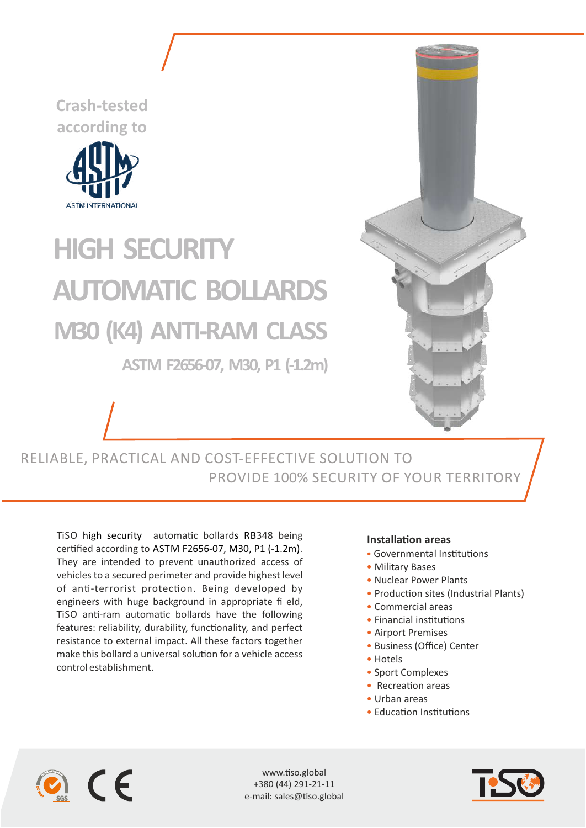**Crash-tested according to**



## **HIGH SECURITY M30 (K4) ANTI-RAM CLASS AUTOMATIC BOLLARDS**

**ASTM F2656-07, M30, P1 (-1.2m)**



RELIABLE, PRACTICAL AND COST-EFFECTIVE SOLUTION TO PROVIDE 100% SECURITY OF YOUR TERRITORY

TiSO high security automatic bollards RB348 being certified according to ASTM F2656-07, M30, P1 (-1.2m). They are intended to prevent unauthorized access of vehicles to a secured perimeter and provide highest level of anti-terrorist protection. Being developed by engineers with huge background in appropriate fi eld, TiSO anti-ram automatic bollards have the following features: reliability, durability, functionality, and perfect resistance to external impact. All these factors together make this bollard a universal solution for a vehicle access control establishment.

## **Installation areas**

- Governmental Institutions
- Military Bases
- Nuclear Power Plants
- Production sites (Industrial Plants)
- Commercial areas
- Financial institutions
- Airport Premises
- Business (Office) Center
- Hotels
- Sport Complexes
- $\bullet$  Recreation areas
- Urban areas
- Education Institutions



www.tiso.global +380 (44) 291-21-11 e-mail: sales@tiso.global

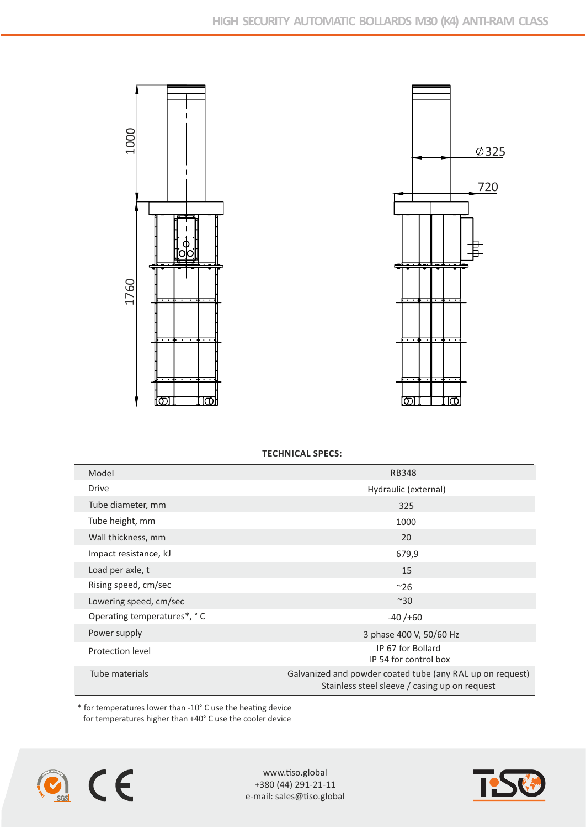



**TECHNICAL SPECS:**

| 1000                        | $\emptyset$ 325                                                                                            |
|-----------------------------|------------------------------------------------------------------------------------------------------------|
| iolo<br>1760<br>ll⑦<br>তেl  | 720<br>$\overline{\cdots}$<br><u> (රා</u><br><u>। प</u><br><b>TECHNICAL SPECS:</b>                         |
| Model                       | <b>RB348</b>                                                                                               |
| Drive                       | Hydraulic (external)                                                                                       |
| Tube diameter, mm           | 325                                                                                                        |
| Tube height, mm             | 1000                                                                                                       |
| Wall thickness, mm          | 20                                                                                                         |
| Impact resistance, kJ       | 679,9                                                                                                      |
| Load per axle, t            | $15\,$                                                                                                     |
| Rising speed, cm/sec        | $~^{\sim}$ 26                                                                                              |
| Lowering speed, cm/sec      | $~^{\sim}30$                                                                                               |
| Operating temperatures*, °C | $-40/+60$                                                                                                  |
|                             |                                                                                                            |
| Power supply                | 3 phase 400 V, 50/60 Hz                                                                                    |
| Protection level            | IP 67 for Bollard<br>IP 54 for control box                                                                 |
| Tube materials              | Galvanized and powder coated tube (any RAL up on request)<br>Stainless steel sleeve / casing up on request |



www.tiso.global +380 (44) 291-21-11 e-mail: sales@tiso.global